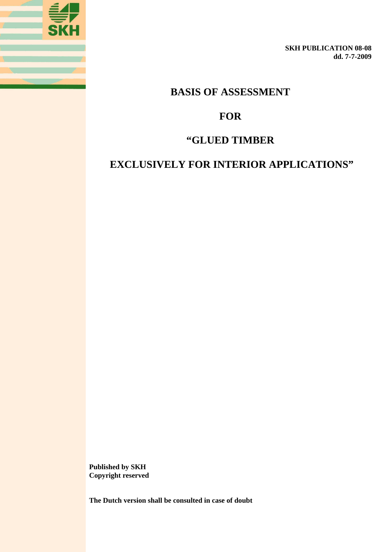

**SKH PUBLICATION 08-08 dd. 7-7-2009** 

# **BASIS OF ASSESSMENT**

# **FOR**

# **"GLUED TIMBER**

# **EXCLUSIVELY FOR INTERIOR APPLICATIONS"**

**Published by SKH Copyright reserved** 

**The Dutch version shall be consulted in case of doubt**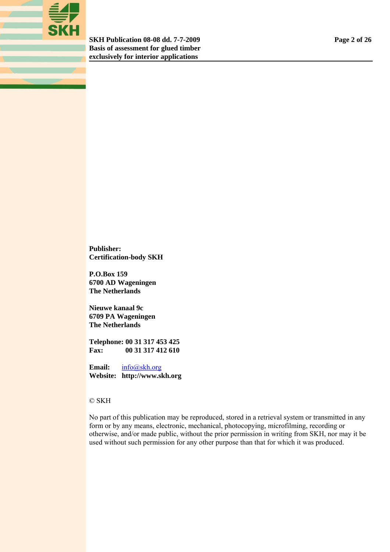

**SKH Publication 08-08 dd. 7-7-2009 Page 2 of 26 Basis of assessment for glued timber exclusively for interior applications** 

**Publisher: Certification-body SKH** 

**P.O.Box 159 6700 AD Wageningen The Netherlands** 

**Nieuwe kanaal 9c 6709 PA Wageningen The Netherlands** 

**Telephone: 00 31 317 453 425 Fax: 00 31 317 412 610** 

**Email:** [info@skh.org](mailto:info@skh.org) **Website: http://www.skh.org** 

### © SKH

No part of this publication may be reproduced, stored in a retrieval system or transmitted in any form or by any means, electronic, mechanical, photocopying, microfilming, recording or otherwise, and/or made public, without the prior permission in writing from SKH, nor may it be used without such permission for any other purpose than that for which it was produced.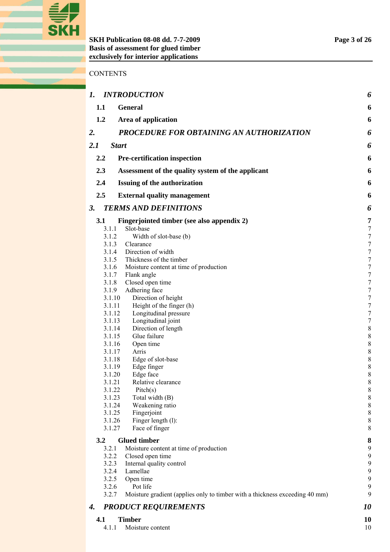#### **CONTENTS**

| $\mathbf{I}$ .   | <b>INTRODUCTION</b>                                                         | 6                |
|------------------|-----------------------------------------------------------------------------|------------------|
| 1.1              | <b>General</b>                                                              | 6                |
| 1.2              | Area of application                                                         | 6                |
| 2.               | PROCEDURE FOR OBTAINING AN AUTHORIZATION                                    | 6                |
| 2.1              | <b>Start</b>                                                                | 6                |
| 2.2              | <b>Pre-certification inspection</b>                                         | 6                |
|                  |                                                                             |                  |
| 2.3              | Assessment of the quality system of the applicant                           | 6                |
| 2.4              | Issuing of the authorization                                                | 6                |
| 2.5              | <b>External quality management</b>                                          | 6                |
| 3.               | <b>TERMS AND DEFINITIONS</b>                                                | 6                |
| 3.1              | Fingerjointed timber (see also appendix 2)                                  | 7                |
| 3.1.1            | Slot-base                                                                   | 7                |
| 3.1.2            | Width of slot-base (b)                                                      | 7                |
| 3.1.3            | Clearance                                                                   | 7                |
|                  | 3.1.4 Direction of width<br>3.1.5 Thickness of the timber                   | 7                |
| 3.1.6            |                                                                             | 7<br>7           |
| 3.1.7            | Moisture content at time of production<br>Flank angle                       | 7                |
| 3.1.8            | Closed open time                                                            | 7                |
| 3.1.9            | Adhering face                                                               | 7                |
| 3.1.10           | Direction of height                                                         | 7                |
| 3.1.11           | Height of the finger (h)                                                    | 7                |
| 3.1.12           | Longitudinal pressure                                                       | 7                |
| 3.1.13           | Longitudinal joint                                                          | $\boldsymbol{7}$ |
| 3.1.14           | Direction of length                                                         | $\,8$            |
| 3.1.15           | Glue failure                                                                | $\,$ 8 $\,$      |
| 3.1.16           | Open time                                                                   | $\,$ 8 $\,$      |
| 3.1.17           | Arris                                                                       | $\,$ 8 $\,$      |
| 3.1.18           | Edge of slot-base                                                           | $\,$ 8 $\,$      |
| 3.1.19           | Edge finger<br>Edge face                                                    | 8<br>8           |
| 3.1.20<br>3.1.21 | Relative clearance                                                          | $\,8\,$          |
| 3.1.22           | Pitch(s)                                                                    | $\,$ $\,$        |
| 3.1.23           | Total width (B)                                                             | $\,$ $\,$        |
| 3.1.24           | Weakening ratio                                                             | $\,$ $\,$        |
| 3.1.25           | Fingerjoint                                                                 | $\,$ 8 $\,$      |
| 3.1.26           | Finger length (l):                                                          | $\,$ 8 $\,$      |
| 3.1.27           | Face of finger                                                              | $\,8\,$          |
| 3.2              | <b>Glued timber</b>                                                         | 8                |
| 3.2.1            | Moisture content at time of production                                      | 9                |
| 3.2.2<br>3.2.3   | Closed open time                                                            | 9<br>9           |
| 3.2.4            | Internal quality control<br>Lamellae                                        | 9                |
| 3.2.5            | Open time                                                                   | 9                |
| 3.2.6            | Pot life                                                                    | 9                |
| 3.2.7            | Moisture gradient (applies only to timber with a thickness exceeding 40 mm) | 9                |
| 4.               | <b>PRODUCT REQUIREMENTS</b>                                                 | <i>10</i>        |
| 4.1              | <b>Timber</b>                                                               | 10               |
| 4.1.1            | Moisture content                                                            | 10               |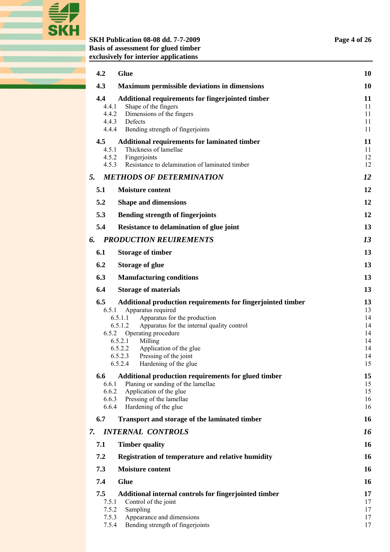

#### **SKH Publication 08-08 dd. 7-7-2009 Page 4 of 26 Basis of assessment for glued timber exclusively for interior applications**

| 4.2           | <b>Glue</b>                                                                           | 10        |
|---------------|---------------------------------------------------------------------------------------|-----------|
| 4.3           | <b>Maximum permissible deviations in dimensions</b>                                   | 10        |
| 4.4           | <b>Additional requirements for fingerjointed timber</b>                               | 11        |
|               | 4.4.1<br>Shape of the fingers                                                         | 11        |
|               | 4.4.2<br>Dimensions of the fingers                                                    | 11        |
|               | 4.4.3<br>Defects<br>4.4.4 Bending strength of fingerjoints                            | 11<br>11  |
| $4.5^{\circ}$ |                                                                                       | 11        |
|               | <b>Additional requirements for laminated timber</b><br>4.5.1<br>Thickness of lamellae | 11        |
|               | 4.5.2<br>Fingerjoints                                                                 | 12        |
|               | 4.5.3<br>Resistance to delamination of laminated timber                               | 12        |
| 5.            | <b>METHODS OF DETERMINATION</b>                                                       | 12        |
| 5.1           | <b>Moisture content</b>                                                               | 12        |
| 5.2           | <b>Shape and dimensions</b>                                                           | 12        |
| 5.3           | <b>Bending strength of fingerjoints</b>                                               | 12        |
| 5.4           | Resistance to delamination of glue joint                                              | 13        |
| 6.            | <b>PRODUCTION REUIREMENTS</b>                                                         | 13        |
| 6.1           | <b>Storage of timber</b>                                                              | 13        |
| 6.2           | <b>Storage of glue</b>                                                                | 13        |
| 6.3           | <b>Manufacturing conditions</b>                                                       | 13        |
| 6.4           | <b>Storage of materials</b>                                                           | 13        |
| 6.5           | Additional production requirements for fingerjointed timber                           | 13        |
|               | Apparatus required<br>6.5.1                                                           | 13        |
|               | Apparatus for the production<br>6.5.1.1                                               | 14        |
|               | 6.5.1.2<br>Apparatus for the internal quality control<br>6.5.2 Operating procedure    | 14<br>14  |
|               | 6.5.2.1<br>Milling                                                                    | 14        |
|               | Application of the glue<br>6.5.2.2                                                    | 14        |
|               | 6.5.2.3 Pressing of the joint                                                         | 14        |
|               | Hardening of the glue<br>6.5.2.4                                                      | 15        |
| 6.6           | Additional production requirements for glued timber                                   | 15        |
|               | Planing or sanding of the lamellae<br>6.6.1<br>Application of the glue<br>6.6.2       | 15<br>15  |
|               | Pressing of the lamellae<br>6.6.3                                                     | 16        |
|               | Hardening of the glue<br>6.6.4                                                        | 16        |
| 6.7           | <b>Transport and storage of the laminated timber</b>                                  | <b>16</b> |
| 7.            | <b>INTERNAL CONTROLS</b>                                                              | 16        |
| 7.1           | <b>Timber quality</b>                                                                 | 16        |
| 7.2           | Registration of temperature and relative humidity                                     | 16        |
| 7.3           | <b>Moisture content</b>                                                               | 16        |
| 7.4           | <b>Glue</b>                                                                           | 16        |
| 7.5           | Additional internal controls for fingerjointed timber                                 | 17        |
|               | Control of the joint<br>7.5.1                                                         | 17        |
|               | 7.5.2<br>Sampling                                                                     | 17        |
|               | Appearance and dimensions<br>7.5.3<br>Bending strength of fingerjoints<br>7.5.4       | 17<br>17  |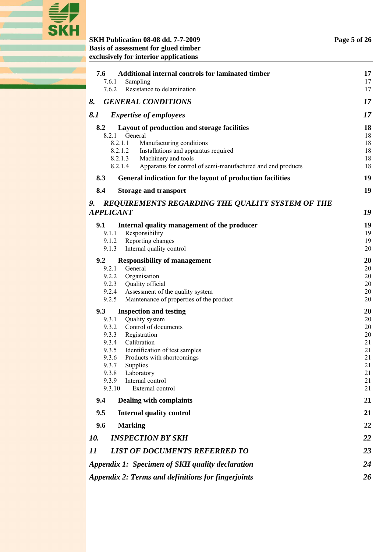

#### **SKH Publication 08-08 dd. 7-7-2009 Page 5 of 26 Basis of assessment for glued timber exclusively for interior applications**

| Additional internal controls for laminated timber<br>7.6<br>7.6.1<br>Sampling          | 17<br>17 |  |
|----------------------------------------------------------------------------------------|----------|--|
| 7.6.2<br>Resistance to delamination                                                    | 17       |  |
| <b>GENERAL CONDITIONS</b><br>8.                                                        | 17       |  |
| 8.1<br><b>Expertise of employees</b>                                                   | 17       |  |
| 8.2<br>Layout of production and storage facilities                                     |          |  |
| 8.2.1 General                                                                          | 18       |  |
| 8.2.1.1<br>Manufacturing conditions<br>8.2.1.2<br>Installations and apparatus required | 18<br>18 |  |
| Machinery and tools<br>8.2.1.3                                                         | 18       |  |
| 8.2.1.4<br>Apparatus for control of semi-manufactured and end products                 | 18       |  |
| 8.3<br>General indication for the layout of production facilities                      | 19       |  |
| 8.4<br><b>Storage and transport</b>                                                    | 19       |  |
| REQUIREMENTS REGARDING THE QUALITY SYSTEM OF THE<br>9.                                 |          |  |
| <b>APPLICANT</b>                                                                       | 19       |  |
| 9.1<br>Internal quality management of the producer                                     | 19       |  |
| 9.1.1 Responsibility                                                                   | 19       |  |
| 9.1.2 Reporting changes<br>Internal quality control<br>9.1.3                           | 19<br>20 |  |
|                                                                                        |          |  |
| 9.2<br><b>Responsibility of management</b><br>9.2.1<br>General                         | 20<br>20 |  |
| 9.2.2 Organisation                                                                     | 20       |  |
| 9.2.3<br>Quality official                                                              | 20       |  |
| 9.2.4<br>Assessment of the quality system                                              | 20       |  |
| 9.2.5<br>Maintenance of properties of the product                                      | 20       |  |
| 9.3<br><b>Inspection and testing</b>                                                   | 20       |  |
| 9.3.1<br>Quality system                                                                | 20       |  |
| Control of documents<br>9.3.2<br>9.3.3<br>Registration                                 | 20<br>20 |  |
| Calibration<br>9.3.4                                                                   | 21       |  |
| Identification of test samples<br>9.3.5                                                | 21       |  |
| 9.3.6<br>Products with shortcomings                                                    | 21       |  |
| 9.3.7<br>Supplies                                                                      | 21       |  |
| 9.3.8<br>Laboratory<br>9.3.9<br>Internal control                                       | 21<br>21 |  |
| External control<br>9.3.10                                                             | 21       |  |
| 9.4<br><b>Dealing with complaints</b>                                                  | 21       |  |
| 9.5                                                                                    | 21       |  |
| <b>Internal quality control</b>                                                        |          |  |
| 9.6<br><b>Marking</b>                                                                  | 22       |  |
| <b>INSPECTION BY SKH</b><br>10.                                                        | 22       |  |
| <b>LIST OF DOCUMENTS REFERRED TO</b><br>11                                             | 23<br>24 |  |
| Appendix 1: Specimen of SKH quality declaration                                        |          |  |
| 26<br><b>Appendix 2: Terms and definitions for fingerjoints</b>                        |          |  |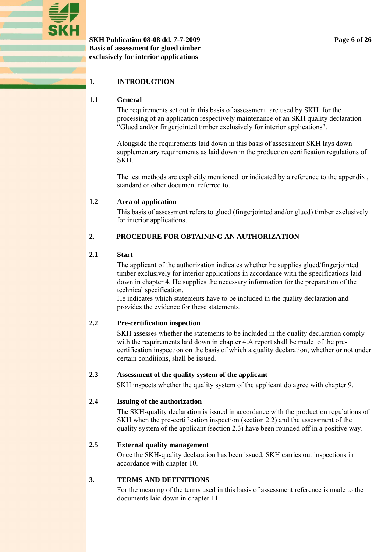<span id="page-5-0"></span>

#### **1. INTRODUCTION**

#### **1.1 General**

The requirements set out in this basis of assessment are used by SKH for the processing of an application respectively maintenance of an SKH quality declaration "Glued and/or fingerjointed timber exclusively for interior applications".

Alongside the requirements laid down in this basis of assessment SKH lays down supplementary requirements as laid down in the production certification regulations of SKH.

The test methods are explicitly mentioned or indicated by a reference to the appendix , standard or other document referred to.

#### **1.2 Area of application**

This basis of assessment refers to glued (fingerjointed and/or glued) timber exclusively for interior applications.

#### **2. PROCEDURE FOR OBTAINING AN AUTHORIZATION**

#### **2.1 Start**

The applicant of the authorization indicates whether he supplies glued/fingerjointed timber exclusively for interior applications in accordance with the specifications laid down in chapter 4. He supplies the necessary information for the preparation of the technical specification.

He indicates which statements have to be included in the quality declaration and provides the evidence for these statements.

#### **2.2 Pre-certification inspection**

SKH assesses whether the statements to be included in the quality declaration comply with the requirements laid down in chapter 4.A report shall be made of the precertification inspection on the basis of which a quality declaration, whether or not under certain conditions, shall be issued.

#### **2.3 Assessment of the quality system of the applicant**

SKH inspects whether the quality system of the applicant do agree with chapter 9.

#### **2.4 Issuing of the authorization**

The SKH-quality declaration is issued in accordance with the production regulations of SKH when the pre-certification inspection (section 2.2) and the assessment of the quality system of the applicant (section 2.3) have been rounded off in a positive way.

#### **2.5 External quality management**

Once the SKH-quality declaration has been issued, SKH carries out inspections in accordance with chapter 10.

#### **3. TERMS AND DEFINITIONS**

For the meaning of the terms used in this basis of assessment reference is made to the documents laid down in chapter 11.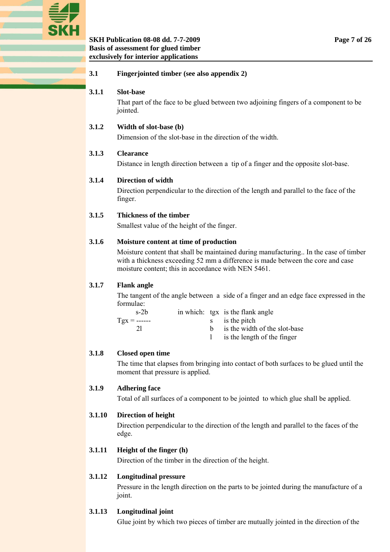<span id="page-6-0"></span>

#### **SKH Publication 08-08 dd. 7-7-2009 Page 7 of 26 Basis of assessment for glued timber exclusively for interior applications**

#### **3.1 Fingerjointed timber (see also appendix 2)**

#### **3.1.1 Slot-base**

That part of the face to be glued between two adjoining fingers of a component to be jointed.

#### **3.1.2 Width of slot-base (b)**

Dimension of the slot-base in the direction of the width.

#### **3.1.3 Clearance**

Distance in length direction between a tip of a finger and the opposite slot-base.

#### **3.1.4 Direction of width**

Direction perpendicular to the direction of the length and parallel to the face of the finger.

#### **3.1.5 Thickness of the timber**

Smallest value of the height of the finger.

#### **3.1.6 Moisture content at time of production**

Moisture content that shall be maintained during manufacturing.. In the case of timber with a thickness exceeding 52 mm a difference is made between the core and case moisture content; this in accordance with NEN 5461.

#### **3.1.7 Flank angle**

The tangent of the angle between a side of a finger and an edge face expressed in the formulae:

| $s-2b$         |  | in which: tgx is the flank angle |
|----------------|--|----------------------------------|
| $Tgx =$ ------ |  | s is the pitch                   |
|                |  | is the width of the slot-base    |
|                |  | is the length of the finger      |

#### **3.1.8 Closed open time**

The time that elapses from bringing into contact of both surfaces to be glued until the moment that pressure is applied.

#### **3.1.9 Adhering face**

Total of all surfaces of a component to be jointed to which glue shall be applied.

#### **3.1.10 Direction of height**

Direction perpendicular to the direction of the length and parallel to the faces of the edge.

#### **3.1.11 Height of the finger (h)**

Direction of the timber in the direction of the height.

#### **3.1.12 Longitudinal pressure**

Pressure in the length direction on the parts to be jointed during the manufacture of a joint.

#### **3.1.13 Longitudinal joint**

Glue joint by which two pieces of timber are mutually jointed in the direction of the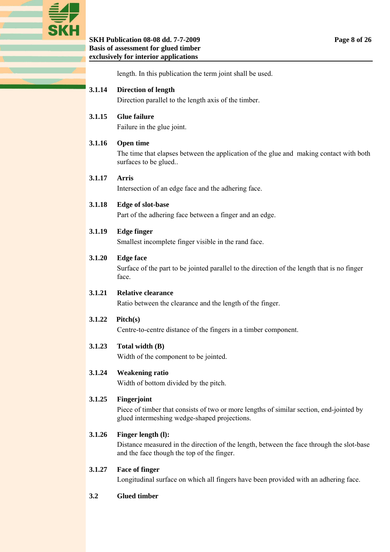<span id="page-7-0"></span>

#### **SKH Publication 08-08 dd. 7-7-2009 Page 8 of 26 Basis of assessment for glued timber exclusively for interior applications**

length. In this publication the term joint shall be used.

## **3.1.14 Direction of length**

Direction parallel to the length axis of the timber.

#### **3.1.15 Glue failure**

Failure in the glue joint.

#### **3.1.16 Open time**

The time that elapses between the application of the glue and making contact with both surfaces to be glued..

#### **3.1.17 Arris**

Intersection of an edge face and the adhering face.

#### **3.1.18 Edge of slot-base**

Part of the adhering face between a finger and an edge.

#### **3.1.19 Edge finger**

Smallest incomplete finger visible in the rand face.

#### **3.1.20 Edge face**

Surface of the part to be jointed parallel to the direction of the length that is no finger face.

#### **3.1.21 Relative clearance**

Ratio between the clearance and the length of the finger.

#### **3.1.22 Pitch(s)**

Centre-to-centre distance of the fingers in a timber component.

#### **3.1.23 Total width (B)**

Width of the component to be jointed.

### **3.1.24 Weakening ratio**

Width of bottom divided by the pitch.

#### **3.1.25 Fingerjoint**

Piece of timber that consists of two or more lengths of similar section, end-jointed by glued intermeshing wedge-shaped projections.

#### **3.1.26 Finger length (l):**

Distance measured in the direction of the length, between the face through the slot-base and the face though the top of the finger.

#### **3.1.27 Face of finger**

Longitudinal surface on which all fingers have been provided with an adhering face.

#### **3.2 Glued timber**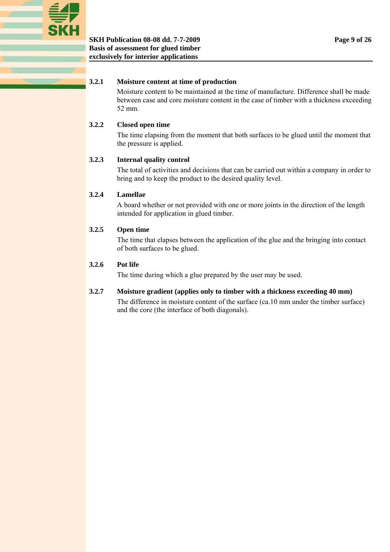<span id="page-8-0"></span>

#### **3.2.1 Moisture content at time of production**

Moisture content to be maintained at the time of manufacture. Difference shall be made between case and core moisture content in the case of timber with a thickness exceeding 52 mm.

#### **3.2.2 Closed open time**

The time elapsing from the moment that both surfaces to be glued until the moment that the pressure is applied.

#### **3.2.3 Internal quality control**

The total of activities and decisions that can be carried out within a company in order to bring and to keep the product to the desired quality level.

#### **3.2.4 Lamellae**

A board whether or not provided with one or more joints in the direction of the length intended for application in glued timber.

#### **3.2.5 Open time**

The time that elapses between the application of the glue and the bringing into contact of both surfaces to be glued.

#### **3.2.6 Pot life**

The time during which a glue prepared by the user may be used.

#### **3.2.7 Moisture gradient (applies only to timber with a thickness exceeding 40 mm)**

The difference in moisture content of the surface (ca.10 mm under the timber surface) and the core (the interface of both diagonals).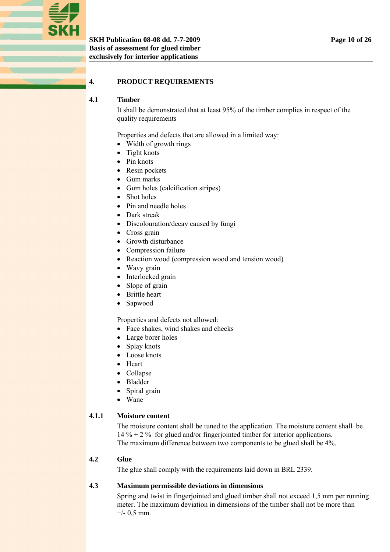<span id="page-9-0"></span>

#### **4. PRODUCT REQUIREMENTS**

#### **4.1 Timber**

It shall be demonstrated that at least 95% of the timber complies in respect of the quality requirements

Properties and defects that are allowed in a limited way:

- Width of growth rings
- Tight knots
- Pin knots
- Resin pockets
- Gum marks
- Gum holes (calcification stripes)
- Shot holes
- Pin and needle holes
- Dark streak
- Discolouration/decay caused by fungi
- Cross grain
- Growth disturbance
- Compression failure
- Reaction wood (compression wood and tension wood)
- Wavy grain
- Interlocked grain
- Slope of grain
- Brittle heart
- Sapwood

#### Properties and defects not allowed:

- Face shakes, wind shakes and checks
- Large borer holes
- Splay knots
- Loose knots
- Heart
- Collapse
- Bladder
- Spiral grain
- Wane

#### **4.1.1 Moisture content**

The moisture content shall be tuned to the application. The moisture content shall be 14  $% + 2%$  for glued and/or fingerjointed timber for interior applications. The maximum difference between two components to be glued shall be 4%.

#### **4.2 Glue**

The glue shall comply with the requirements laid down in BRL 2339.

#### **4.3 Maximum permissible deviations in dimensions**

Spring and twist in fingerjointed and glued timber shall not exceed 1,5 mm per running meter. The maximum deviation in dimensions of the timber shall not be more than  $+/- 0.5$  mm.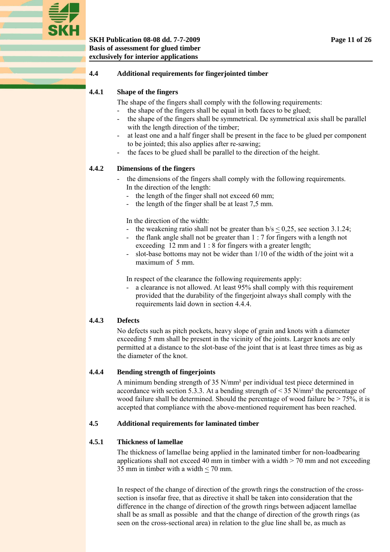#### <span id="page-10-0"></span>**4.4 Additional requirements for fingerjointed timber**

#### **4.4.1 Shape of the fingers**

The shape of the fingers shall comply with the following requirements:

- the shape of the fingers shall be equal in both faces to be glued;
- the shape of the fingers shall be symmetrical. De symmetrical axis shall be parallel with the length direction of the timber;
- at least one and a half finger shall be present in the face to be glued per component to be jointed; this also applies after re-sawing;
- the faces to be glued shall be parallel to the direction of the height.

#### **4.4.2 Dimensions of the fingers**

- the dimensions of the fingers shall comply with the following requirements. In the direction of the length:
	- the length of the finger shall not exceed 60 mm;
	- the length of the finger shall be at least 7,5 mm.

In the direction of the width:

- the weakening ratio shall not be greater than  $b/s \le 0.25$ , see section 3.1.24;
- the flank angle shall not be greater than  $1:7$  for fingers with a length not exceeding 12 mm and 1 : 8 for fingers with a greater length;
- slot-base bottoms may not be wider than 1/10 of the width of the joint wit a maximum of 5 mm.

In respect of the clearance the following requirements apply:

- a clearance is not allowed. At least 95% shall comply with this requirement provided that the durability of the fingerjoint always shall comply with the requirements laid down in section 4.4.4.

#### **4.4.3 Defects**

No defects such as pitch pockets, heavy slope of grain and knots with a diameter exceeding 5 mm shall be present in the vicinity of the joints. Larger knots are only permitted at a distance to the slot-base of the joint that is at least three times as big as the diameter of the knot.

#### **4.4.4 Bending strength of fingerjoints**

A minimum bending strength of 35 N/mm² per individual test piece determined in accordance with section 5.3.3. At a bending strength of < 35 N/mm² the percentage of wood failure shall be determined. Should the percentage of wood failure be  $> 75\%$ , it is accepted that compliance with the above-mentioned requirement has been reached.

#### **4.5 Additional requirements for laminated timber**

#### **4.5.1 Thickness of lamellae**

The thickness of lamellae being applied in the laminated timber for non-loadbearing applications shall not exceed 40 mm in timber with a width  $>$  70 mm and not exceeding 35 mm in timber with a width < 70 mm.

In respect of the change of direction of the growth rings the construction of the crosssection is insofar free, that as directive it shall be taken into consideration that the difference in the change of direction of the growth rings between adjacent lamellae shall be as small as possible and that the change of direction of the growth rings (as seen on the cross-sectional area) in relation to the glue line shall be, as much as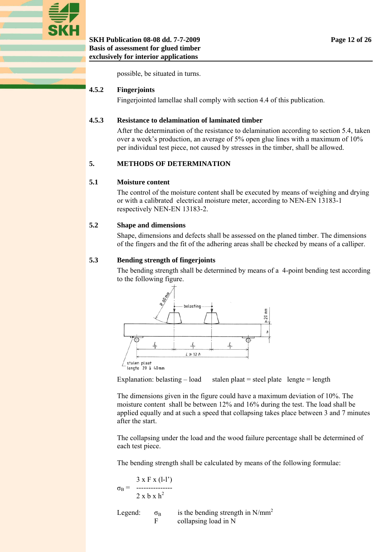<span id="page-11-0"></span>

possible, be situated in turns.

#### **4.5.2 Fingerjoints**

Fingerjointed lamellae shall comply with section 4.4 of this publication.

#### **4.5.3 Resistance to delamination of laminated timber**

After the determination of the resistance to delamination according to section 5.4, taken over a week's production, an average of 5% open glue lines with a maximum of 10% per individual test piece, not caused by stresses in the timber, shall be allowed.

#### **5. METHODS OF DETERMINATION**

#### **5.1 Moisture content**

The control of the moisture content shall be executed by means of weighing and drying or with a calibrated electrical moisture meter, according to NEN-EN 13183-1 respectively NEN-EN 13183-2.

#### **5.2 Shape and dimensions**

Shape, dimensions and defects shall be assessed on the planed timber. The dimensions of the fingers and the fit of the adhering areas shall be checked by means of a calliper.

#### **5.3 Bending strength of fingerjoints**

The bending strength shall be determined by means of a 4-point bending test according to the following figure.



Explanation: belasting  $-$  load stalen plaat  $=$  steel plate lengte  $=$  length

The dimensions given in the figure could have a maximum deviation of 10%. The moisture content shall be between 12% and 16% during the test. The load shall be applied equally and at such a speed that collapsing takes place between 3 and 7 minutes after the start.

The collapsing under the load and the wood failure percentage shall be determined of each test piece.

The bending strength shall be calculated by means of the following formulae:

$$
\sigma_{\rm B} = \begin{array}{ll}\n3 \times F \times (l-l') \\
- \text{2x b x h}^2 \\
2 \times b \times h^2\n\end{array}
$$
\nLegend:

\n
$$
\sigma_{\rm B} \qquad \text{is the bending strength in N/mm}^2
$$
\n
$$
\text{collapsing load in N}
$$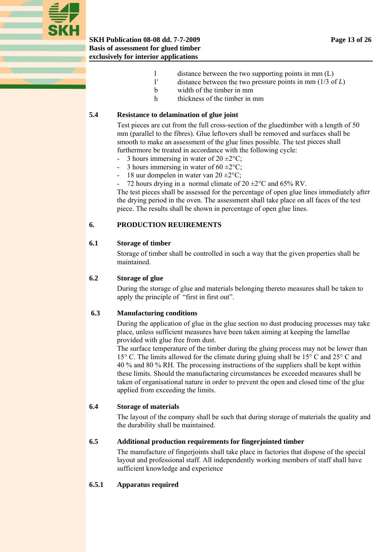<span id="page-12-0"></span>

- l distance between the two supporting points in mm (L)
- l' distance between the two pressure points in mm (1/3 of *L*)
	- b width of the timber in mm
	- h thickness of the timber in mm

#### **5.4 Resistance to delamination of glue joint**

Test pieces are cut from the full cross-section of the gluedtimber with a length of 50 mm (parallel to the fibres). Glue leftovers shall be removed and surfaces shall be smooth to make an assessment of the glue lines possible. The test pieces shall furthermore be treated in accordance with the following cycle:

- 3 hours immersing in water of  $20 \pm 2^{\circ}$ C:
- 3 hours immersing in water of  $60 \pm 2^{\circ}$ C;
- 18 uur dompelen in water van 20  $\pm 2^{\circ}$ C;
- 72 hours drying in a normal climate of  $20 \pm 2^{\circ}$ C and 65% RV.

The test pieces shall be assessed for the percentage of open glue lines immediately after the drying period in the oven. The assessment shall take place on all faces of the test piece. The results shall be shown in percentage of open glue lines.

#### **6. PRODUCTION REUIREMENTS**

#### **6.1 Storage of timber**

Storage of timber shall be controlled in such a way that the given properties shall be maintained.

#### **6.2 Storage of glue**

During the storage of glue and materials belonging thereto measures shall be taken to apply the principle of "first in first out".

#### **6.3 Manufacturing conditions**

During the application of glue in the glue section no dust producing processes may take place, unless sufficient measures have been taken aiming at keeping the lamellae provided with glue free from dust.

taken of organisational nature in order to prevent the open and closed time of the glue applied from exceeding the limits. The surface temperature of the timber during the gluing process may not be lower than 15° C. The limits allowed for the climate during gluing shall be 15° C and 25° C and 40 % and 80 % RH. The processing instructions of the suppliers shall be kept within these limits. Should the manufacturing circumstances be exceeded measures shall be

#### **6.4 Storage of materials**

The layout of the company shall be such that during storage of materials the quality and the durability shall be maintained.

#### **6.5 Additional production requirements for fingerjointed timber**

layout and professional staff. All independently working members of staff shall have sufficient knowledge and experience The manufacture of fingerjoints shall take place in factories that dispose of the special

#### **6.5.1 Apparatus required**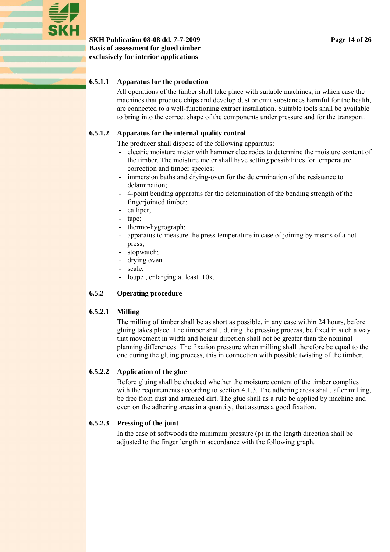<span id="page-13-0"></span>

#### **6.5.1.1 Apparatus for the production**

All operations of the timber shall take place with suitable machines, in which case the machines that produce chips and develop dust or emit substances harmful for the health, are connected to a well-functioning extract installation. Suitable tools shall be available to bring into the correct shape of the components under pressure and for the transport.

#### **6.5.1.2 Apparatus for the internal quality control**

The producer shall dispose of the following apparatus:

- electric moisture meter with hammer electrodes to determine the moisture content of the timber. The moisture meter shall have setting possibilities for temperature correction and timber species;
- immersion baths and drying-oven for the determination of the resistance to delamination;
- 4-point bending apparatus for the determination of the bending strength of the fingerjointed timber;
- calliper;
- tape;
- thermo-hygrograph;
- apparatus to measure the press temperature in case of joining by means of a hot press;
- stopwatch;
- drying oven
- scale:
- loupe, enlarging at least 10x.

#### **6.5.2 Operating procedure**

#### **6.5.2.1 Milling**

The milling of timber shall be as short as possible, in any case within 24 hours, before gluing takes place. The timber shall, during the pressing process, be fixed in such a way that movement in width and height direction shall not be greater than the nominal planning differences. The fixation pressure when milling shall therefore be equal to the one during the gluing process, this in connection with possible twisting of the timber.

#### **6.5.2.2 Application of the glue**

Before gluing shall be checked whether the moisture content of the timber complies with the requirements according to section 4.1.3. The adhering areas shall, after milling, be free from dust and attached dirt. The glue shall as a rule be applied by machine and even on the adhering areas in a quantity, that assures a good fixation.

#### **6.5.2.3 Pressing of the joint**

In the case of softwoods the minimum pressure  $(p)$  in the length direction shall be adjusted to the finger length in accordance with the following graph.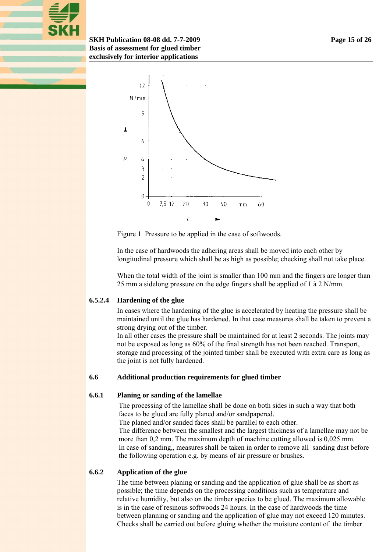<span id="page-14-0"></span>





Figure 1 Pressure to be applied in the case of softwoods.

In the case of hardwoods the adhering areas shall be moved into each other by longitudinal pressure which shall be as high as possible; checking shall not take place.

When the total width of the joint is smaller than 100 mm and the fingers are longer than 25 mm a sidelong pressure on the edge fingers shall be applied of 1 à 2 N/mm.

## **6.5.2.4 Hardening of the glue**

In cases where the hardening of the glue is accelerated by heating the pressure shall be maintained until the glue has hardened. In that case measures shall be taken to prevent a strong drying out of the timber.

In all other cases the pressure shall be maintained for at least 2 seconds. The joints may not be exposed as long as 60% of the final strength has not been reached. Transport, storage and processing of the jointed timber shall be executed with extra care as long as the joint is not fully hardened.

## **6.6 Additional production requirements for glued timber**

#### **6.6.1 Planing or sanding of the lamellae**

The processing of the lamellae shall be done on both sides in such a way that both faces to be glued are fully planed and/or sandpapered.

The planed and/or sanded faces shall be parallel to each other.

The difference between the smallest and the largest thickness of a lamellae may not be more than 0,2 mm. The maximum depth of machine cutting allowed is 0,025 mm. In case of sanding,, measures shall be taken in order to remove all sanding dust before the following operation e.g. by means of air pressure or brushes.

## **6.6.2 Application of the glue**

 The time between planing or sanding and the application of glue shall be as short as possible; the time depends on the processing conditions such as temperature and relative humidity, but also on the timber species to be glued. The maximum allowable is in the case of resinous softwoods 24 hours. In the case of hardwoods the time between planning or sanding and the application of glue may not exceed 120 minutes. Checks shall be carried out before gluing whether the moisture content of the timber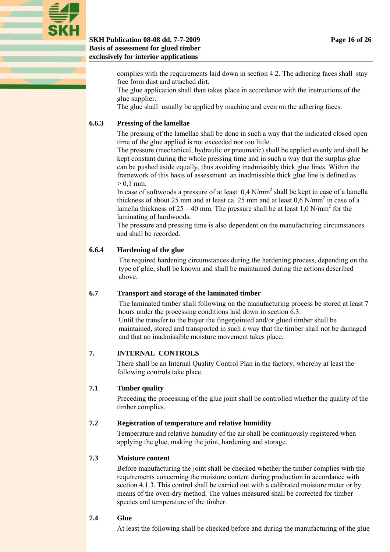<span id="page-15-0"></span>

complies with the requirements laid down in section 4.2. The adhering faces shall stay free from dust and attached dirt.

 The glue application shall than takes place in accordance with the instructions of the glue supplier.

The glue shall usually be applied by machine and even on the adhering faces.

#### **6.6.3 Pressing of the lamellae**

 The pressing of the lamellae shall be done in such a way that the indicated closed open time of the glue applied is not exceeded nor too little.

 The pressure (mechanical, hydraulic or pneumatic) shall be applied evenly and shall be kept constant during the whole pressing time and in such a way that the surplus glue can be pushed aside equally, thus avoiding inadmissibly thick glue lines. Within the framework of this basis of assessment an inadmissible thick glue line is defined as  $> 0.1$  mm.

In case of softwoods a pressure of at least  $0.4$  N/mm<sup>2</sup> shall be kept in case of a lamella thickness of about 25 mm and at least ca. 25 mm and at least  $0.6$  N/mm<sup>2</sup> in case of a lamella thickness of  $25 - 40$  mm. The pressure shall be at least 1,0 N/mm<sup>2</sup> for the laminating of hardwoods.

 The pressure and pressing time is also dependent on the manufacturing circumstances and shall be recorded.

#### **6.6.4 Hardening of the glue**

The required hardening circumstances during the hardening process, depending on the type of glue, shall be known and shall be maintained during the actions described above.

#### **6.7 Transport and storage of the laminated timber**

The laminated timber shall following on the manufacturing process be stored at least 7 hours under the processing conditions laid down in section 6.3. Until the transfer to the buyer the fingerjointed and/or glued timber shall be maintained, stored and transported in such a way that the timber shall not be damaged and that no inadmissible moisture movement takes place.

#### **7. INTERNAL CONTROLS**

There shall be an Internal Quality Control Plan in the factory, whereby at least the following controls take place.

#### **7.1 Timber quality**

 Preceding the processing of the glue joint shall be controlled whether the quality of the timber complies.

#### **7.2 Registration of temperature and relative humidity**

Temperature and relative humidity of the air shall be continuously registered when applying the glue, making the joint, hardening and storage.

#### **7.3 Moisture content**

Before manufacturing the joint shall be checked whether the timber complies with the requirements concerning the moisture content during production in accordance with section 4.1.3. This control shall be carried out with a calibrated moisture meter or by means of the oven-dry method. The values measured shall be corrected for timber species and temperature of the timber.

#### **7.4 Glue**

At least the following shall be checked before and during the manufacturing of the glue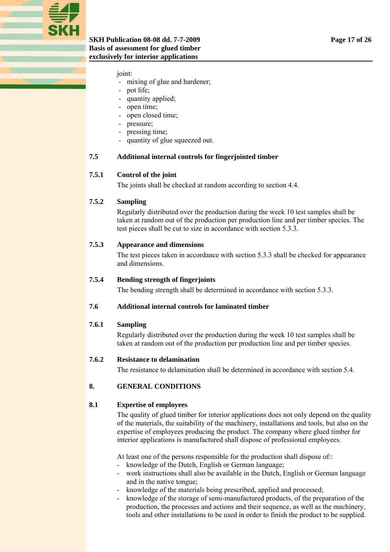<span id="page-16-0"></span>

#### **SKH Publication 08-08 dd. 7-7-2009** Page 17 of 26 **Basis of assessment for glued timber exclusively for interior applications**

joint:

- mixing of glue and hardener;
- pot life:
- quantity applied:
- open time:
- open closed time;
- pressure:
- pressing time;
- quantity of glue squeezed out.

#### **7.5 Additional internal controls for fingerjointed timber**

#### **7.5.1 Control of the joint**

The joints shall be checked at random according to section 4.4.

#### **7.5.2 Sampling**

Regularly distributed over the production during the week 10 test samples shall be taken at random out of the production per production line and per timber species. The test pieces shall be cut to size in accordance with section 5.3.3.

#### **7.5.3 Appearance and dimensions**

The test pieces taken in accordance with section 5.3.3 shall be checked for appearance and dimensions.

#### **7.5.4 Bending strength of fingerjoints**

The bending strength shall be determined in accordance with section 5.3.3.

#### **7.6 Additional internal controls for laminated timber**

#### **7.6.1 Sampling**

 Regularly distributed over the production during the week 10 test samples shall be taken at random out of the production per production line and per timber species.

## **7.6.2 Resistance to delamination**

The resistance to delamination shall be determined in accordance with section 5.4.

#### **8. GENERAL CONDITIONS**

#### **8.1 Expertise of employees**

The quality of glued timber for interior applications does not only depend on the quality of the materials, the suitability of the machinery, installations and tools, but also on the expertise of employees producing the product. The company where glued timber for interior applications is manufactured shall dispose of professional employees.

At least one of the persons responsible for the production shall dispose of::

- knowledge of the Dutch, English or German language;
- work instructions shall also be available in the Dutch, English or German language and in the native tongue;
- knowledge of the materials being prescribed, applied and processed;
- knowledge of the storage of semi-manufactured products, of the preparation of the production, the processes and actions and their sequence, as well as the machinery, tools and other installations to be used in order to finish the product to be supplied.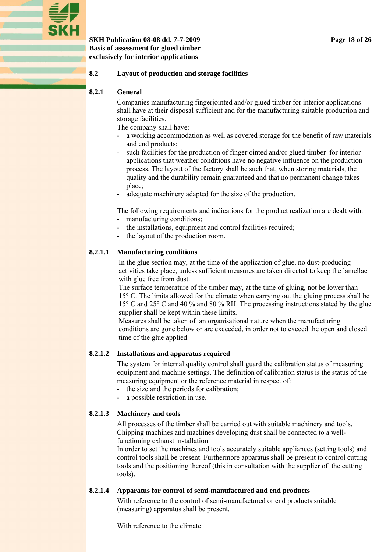<span id="page-17-0"></span>

#### **8.2 Layout of production and storage facilities**

#### **8.2.1 General**

Companies manufacturing fingerjointed and/or glued timber for interior applications shall have at their disposal sufficient and for the manufacturing suitable production and storage facilities.

The company shall have:

- a working accommodation as well as covered storage for the benefit of raw materials and end products;
- such facilities for the production of fingeriointed and/or glued timber for interior applications that weather conditions have no negative influence on the production process. The layout of the factory shall be such that, when storing materials, the quality and the durability remain guaranteed and that no permanent change takes place;
- adequate machinery adapted for the size of the production.

The following requirements and indications for the product realization are dealt with:

- manufacturing conditions;
- the installations, equipment and control facilities required;
- the layout of the production room.

#### **8.2.1.1 Manufacturing conditions**

In the glue section may, at the time of the application of glue, no dust-producing activities take place, unless sufficient measures are taken directed to keep the lamellae with glue free from dust.

The surface temperature of the timber may, at the time of gluing, not be lower than 15° C. The limits allowed for the climate when carrying out the gluing process shall be 15° C and 25° C and 40 % and 80 % RH. The processing instructions stated by the glue supplier shall be kept within these limits.

Measures shall be taken of an organisational nature when the manufacturing conditions are gone below or are exceeded, in order not to exceed the open and closed time of the glue applied.

#### **8.2.1.2 Installations and apparatus required**

The system for internal quality control shall guard the calibration status of measuring equipment and machine settings. The definition of calibration status is the status of the measuring equipment or the reference material in respect of:

- the size and the periods for calibration;
- a possible restriction in use.

#### **8.2.1.3 Machinery and tools**

All processes of the timber shall be carried out with suitable machinery and tools. Chipping machines and machines developing dust shall be connected to a wellfunctioning exhaust installation.

In order to set the machines and tools accurately suitable appliances (setting tools) and control tools shall be present. Furthermore apparatus shall be present to control cutting tools and the positioning thereof (this in consultation with the supplier of the cutting tools).

#### **8.2.1.4 Apparatus for control of semi-manufactured and end products**

With reference to the control of semi-manufactured or end products suitable (measuring) apparatus shall be present.

With reference to the climate: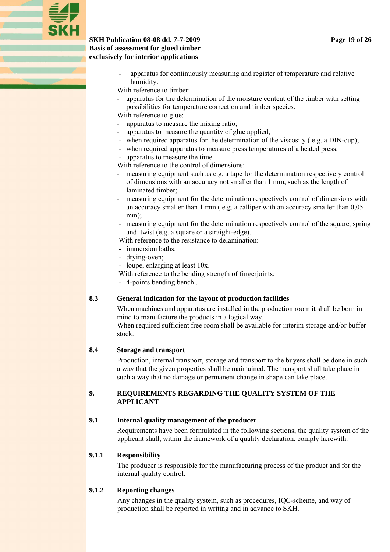## <span id="page-18-0"></span>**SKH Publication 08-08 dd. 7-7-2009** Page 19 of 26 **Basis of assessment for glued timber exclusively for interior applications**

- apparatus for continuously measuring and register of temperature and relative humidity.
- With reference to timber:
- apparatus for the determination of the moisture content of the timber with setting possibilities for temperature correction and timber species.
- With reference to glue:
- apparatus to measure the mixing ratio:
- apparatus to measure the quantity of glue applied;
- when required apparatus for the determination of the viscosity ( $e.g. a DIN-cup$ );
- when required apparatus to measure press temperatures of a heated press;
- apparatus to measure the time.

With reference to the control of dimensions:

- measuring equipment such as e.g. a tape for the determination respectively control of dimensions with an accuracy not smaller than 1 mm, such as the length of laminated timber;
- measuring equipment for the determination respectively control of dimensions with an accuracy smaller than  $1 \text{ mm}$  (e.g. a calliper with an accuracy smaller than 0.05) mm);
- measuring equipment for the determination respectively control of the square, spring and twist (e.g. a square or a straight-edge).
- With reference to the resistance to delamination:
- immersion baths;
- drying-oven;
- loupe, enlarging at least 10x.
- With reference to the bending strength of fingerioints:
- 4-points bending bench..

#### **8.3 General indication for the layout of production facilities**

When machines and apparatus are installed in the production room it shall be born in mind to manufacture the products in a logical way.

When required sufficient free room shall be available for interim storage and/or buffer stock.

#### **8.4 Storage and transport**

Production, internal transport, storage and transport to the buyers shall be done in such a way that the given properties shall be maintained. The transport shall take place in such a way that no damage or permanent change in shape can take place.

#### **9. REQUIREMENTS REGARDING THE QUALITY SYSTEM OF THE APPLICANT**

#### **9.1 Internal quality management of the producer**

Requirements have been formulated in the following sections; the quality system of the applicant shall, within the framework of a quality declaration, comply herewith.

#### **9.1.1 Responsibility**

 The producer is responsible for the manufacturing process of the product and for the internal quality control.

#### **9.1.2 Reporting changes**

 Any changes in the quality system, such as procedures, IQC-scheme, and way of production shall be reported in writing and in advance to SKH.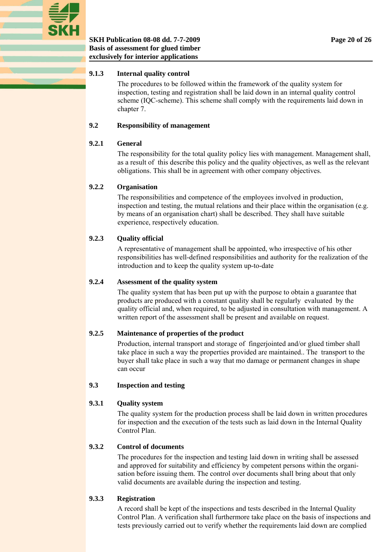<span id="page-19-0"></span>

#### **SKH Publication 08-08 dd. 7-7-2009** Page 20 of 26 **Basis of assessment for glued timber exclusively for interior applications**

### **9.1.3 Internal quality control**

 The procedures to be followed within the framework of the quality system for inspection, testing and registration shall be laid down in an internal quality control scheme (IQC-scheme). This scheme shall comply with the requirements laid down in chapter 7.

#### **9.2 Responsibility of management**

#### **9.2.1 General**

 The responsibility for the total quality policy lies with management. Management shall, as a result of this describe this policy and the quality objectives, as well as the relevant obligations. This shall be in agreement with other company objectives.

#### **9.2.2 Organisation**

 The responsibilities and competence of the employees involved in production, inspection and testing, the mutual relations and their place within the organisation (e.g. by means of an organisation chart) shall be described. They shall have suitable experience, respectively education.

### **9.2.3 Quality official**

 A representative of management shall be appointed, who irrespective of his other responsibilities has well-defined responsibilities and authority for the realization of the introduction and to keep the quality system up-to-date

#### **9.2.4 Assessment of the quality system**

 The quality system that has been put up with the purpose to obtain a guarantee that products are produced with a constant quality shall be regularly evaluated by the quality official and, when required, to be adjusted in consultation with management. A written report of the assessment shall be present and available on request.

#### **9.2.5 Maintenance of properties of the product**

 Production, internal transport and storage of fingerjointed and/or glued timber shall take place in such a way the properties provided are maintained.. The transport to the buyer shall take place in such a way that mo damage or permanent changes in shape can occur

#### **9.3 Inspection and testing**

#### **9.3.1 Quality system**

 The quality system for the production process shall be laid down in written procedures for inspection and the execution of the tests such as laid down in the Internal Quality Control Plan.

#### **9.3.2 Control of documents**

 The procedures for the inspection and testing laid down in writing shall be assessed and approved for suitability and efficiency by competent persons within the organi sation before issuing them. The control over documents shall bring about that only valid documents are available during the inspection and testing.

#### **9.3.3 Registration**

 A record shall be kept of the inspections and tests described in the Internal Quality Control Plan. A verification shall furthermore take place on the basis of inspections and tests previously carried out to verify whether the requirements laid down are complied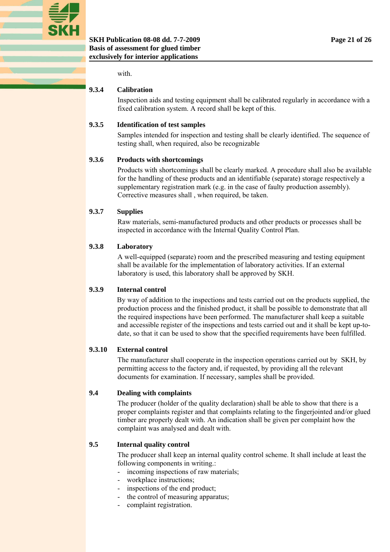<span id="page-20-0"></span>

with.

#### **9.3.4 Calibration**

 Inspection aids and testing equipment shall be calibrated regularly in accordance with a fixed calibration system. A record shall be kept of this.

#### **9.3.5 Identification of test samples**

 Samples intended for inspection and testing shall be clearly identified. The sequence of testing shall, when required, also be recognizable

#### **9.3.6 Products with shortcomings**

 Products with shortcomings shall be clearly marked. A procedure shall also be available for the handling of these products and an identifiable (separate) storage respectively a supplementary registration mark (e.g. in the case of faulty production assembly). Corrective measures shall , when required, be taken.

#### **9.3.7 Supplies**

 Raw materials, semi-manufactured products and other products or processes shall be inspected in accordance with the Internal Quality Control Plan.

#### **9.3.8 Laboratory**

 A well-equipped (separate) room and the prescribed measuring and testing equipment shall be available for the implementation of laboratory activities. If an external laboratory is used, this laboratory shall be approved by SKH.

#### **9.3.9 Internal control**

 By way of addition to the inspections and tests carried out on the products supplied, the production process and the finished product, it shall be possible to demonstrate that all the required inspections have been performed. The manufacturer shall keep a suitable and accessible register of the inspections and tests carried out and it shall be kept up-todate, so that it can be used to show that the specified requirements have been fulfilled.

#### **9.3.10 External control**

 The manufacturer shall cooperate in the inspection operations carried out by SKH, by permitting access to the factory and, if requested, by providing all the relevant documents for examination. If necessary, samples shall be provided.

#### **9.4 Dealing with complaints**

 The producer (holder of the quality declaration) shall be able to show that there is a proper complaints register and that complaints relating to the fingerjointed and/or glued timber are properly dealt with. An indication shall be given per complaint how the complaint was analysed and dealt with.

#### **9.5 Internal quality control**

 The producer shall keep an internal quality control scheme. It shall include at least the following components in writing.:

- incoming inspections of raw materials:
- workplace instructions:
- inspections of the end product:
- the control of measuring apparatus;
- complaint registration.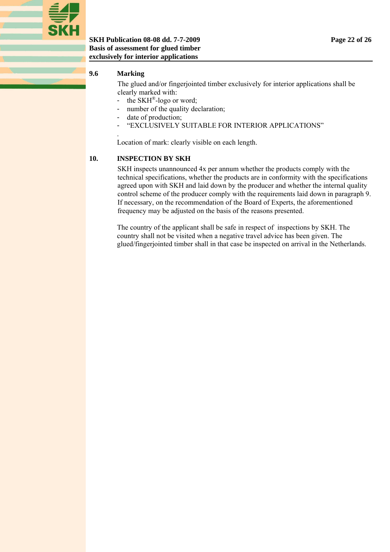#### <span id="page-21-0"></span>**SKH Publication 08-08 dd. 7-7-2009 Page 22 of 26 Basis of assessment for glued timber exclusively for interior applications**

#### **9.6 Marking**

.

 The glued and/or fingerjointed timber exclusively for interior applications shall be clearly marked with:

- the  $SKH^{\circledR}$ -logo or word;
- number of the quality declaration;
- date of production;
- "EXCLUSIVELY SUITABLE FOR INTERIOR APPLICATIONS"

Location of mark: clearly visible on each length.

#### **10. INSPECTION BY SKH**

 SKH inspects unannounced 4x per annum whether the products comply with the technical specifications, whether the products are in conformity with the specifications agreed upon with SKH and laid down by the producer and whether the internal quality control scheme of the producer comply with the requirements laid down in paragraph 9. If necessary, on the recommendation of the Board of Experts, the aforementioned frequency may be adjusted on the basis of the reasons presented.

The country of the applicant shall be safe in respect of inspections by SKH. The country shall not be visited when a negative travel advice has been given. The glued/fingerjointed timber shall in that case be inspected on arrival in the Netherlands.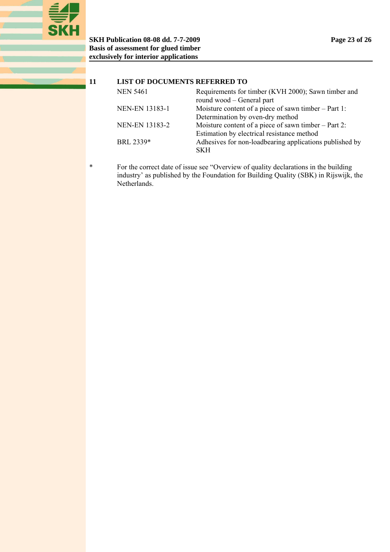<span id="page-22-0"></span>

#### **11 LIST OF DOCUMENTS REFERRED TO**

| <b>NEN 5461</b>       | Requirements for timber (KVH 2000); Sawn timber and<br>round wood – General part |
|-----------------------|----------------------------------------------------------------------------------|
| <b>NEN-EN 13183-1</b> | Moisture content of a piece of sawn timber $-$ Part 1:                           |
|                       | Determination by oven-dry method                                                 |
| NEN-EN 13183-2        | Moisture content of a piece of sawn timber $-$ Part 2:                           |
|                       | Estimation by electrical resistance method                                       |
| BRL 2339*             | Adhesives for non-loadbearing applications published by                          |
|                       | <b>SKH</b>                                                                       |

\* For the correct date of issue see "Overview of quality declarations in the building industry' as published by the Foundation for Building Quality (SBK) in Rijswijk, the Netherlands.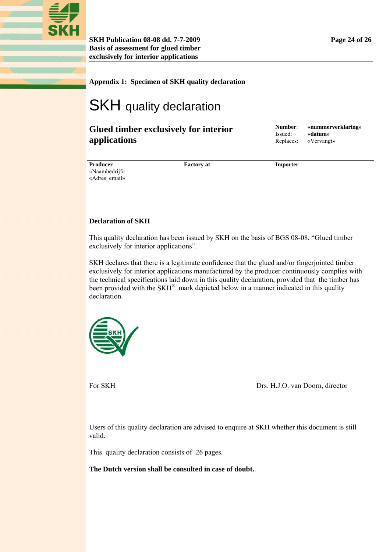<span id="page-23-0"></span>

**SKH Publication 08-08 dd. 7-7-2009** Page 24 of 26 **Basis of assessment for glued timber exclusively for interior applications** 

**Appendix 1: Specimen of SKH quality declaration** 

# SKH quality declaration

# **Glued timber exclusively for interior applications**

Issued: **«datum»**

**Number**: **«nummerverklaring»**  Replaces: «Vervangt»

**Producer**  «Naambedrijf» «Adres email» Factory at **Importer** 

#### **Declaration of SKH**

This quality declaration has been issued by SKH on the basis of BGS 08-08, "Glued timber exclusively for interior applications".

SKH declares that there is a legitimate confidence that the glued and/or fingerjointed timber exclusively for interior applications manufactured by the producer continuously complies with the technical specifications laid down in this quality declaration, provided that the timber has been provided with the SKH® mark depicted below in a manner indicated in this quality declaration.



For SKH Drs. H.J.O. van Doorn, director

Users of this quality declaration are advised to enquire at SKH whether this document is still valid.

This quality declaration consists of 26 pages.

**The Dutch version shall be consulted in case of doubt.**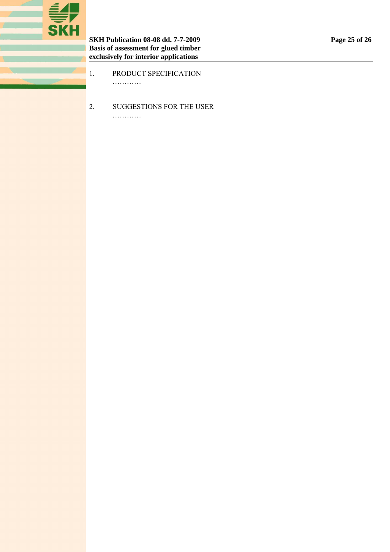

- 1. PRODUCT SPECIFICATION …………
- 2. SUGGESTIONS FOR THE USER

…………